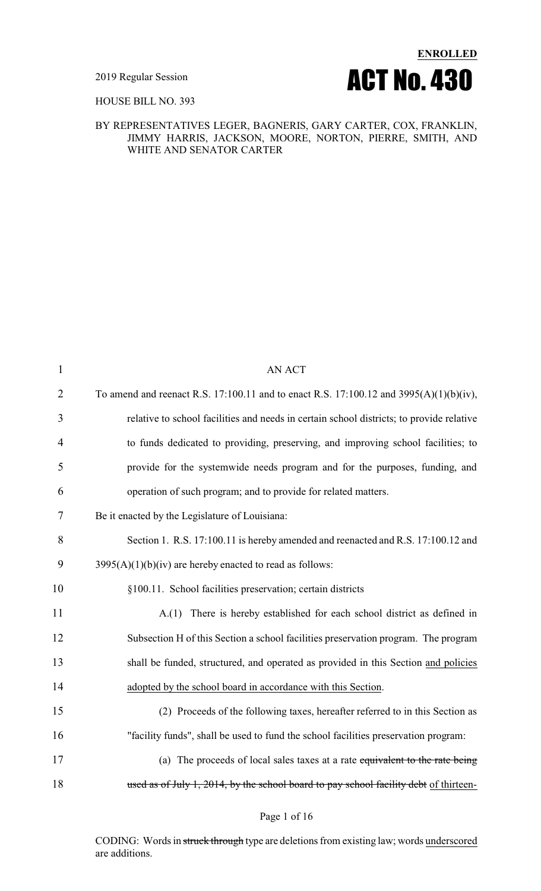

HOUSE BILL NO. 393

#### BY REPRESENTATIVES LEGER, BAGNERIS, GARY CARTER, COX, FRANKLIN, JIMMY HARRIS, JACKSON, MOORE, NORTON, PIERRE, SMITH, AND WHITE AND SENATOR CARTER

| $\mathbf{1}$   | <b>AN ACT</b>                                                                            |
|----------------|------------------------------------------------------------------------------------------|
| $\overline{2}$ | To amend and reenact R.S. 17:100.11 and to enact R.S. 17:100.12 and 3995(A)(1)(b)(iv),   |
| 3              | relative to school facilities and needs in certain school districts; to provide relative |
| 4              | to funds dedicated to providing, preserving, and improving school facilities; to         |
| 5              | provide for the systemwide needs program and for the purposes, funding, and              |
| 6              | operation of such program; and to provide for related matters.                           |
| 7              | Be it enacted by the Legislature of Louisiana:                                           |
| 8              | Section 1. R.S. 17:100.11 is hereby amended and reenacted and R.S. 17:100.12 and         |
| 9              | $3995(A)(1)(b)(iv)$ are hereby enacted to read as follows:                               |
| 10             | §100.11. School facilities preservation; certain districts                               |
| 11             | A.(1) There is hereby established for each school district as defined in                 |
| 12             | Subsection H of this Section a school facilities preservation program. The program       |
| 13             | shall be funded, structured, and operated as provided in this Section and policies       |
| 14             | adopted by the school board in accordance with this Section.                             |
| 15             | (2) Proceeds of the following taxes, hereafter referred to in this Section as            |
| 16             | "facility funds", shall be used to fund the school facilities preservation program:      |
| 17             | (a) The proceeds of local sales taxes at a rate equivalent to the rate being             |
| 18             | used as of July 1, 2014, by the school board to pay school facility debt of thirteen-    |
|                |                                                                                          |

Page 1 of 16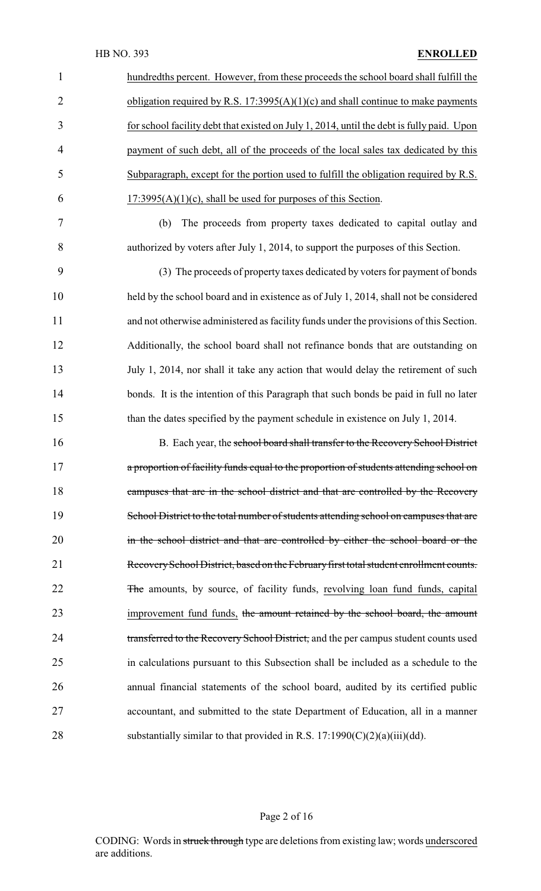| $\mathbf{1}$    | hundredths percent. However, from these proceeds the school board shall fulfill the       |
|-----------------|-------------------------------------------------------------------------------------------|
| $\overline{2}$  | obligation required by R.S. 17:3995(A)(1)(c) and shall continue to make payments          |
| $\overline{3}$  | for school facility debt that existed on July 1, 2014, until the debt is fully paid. Upon |
| $\overline{4}$  | payment of such debt, all of the proceeds of the local sales tax dedicated by this        |
| 5               | Subparagraph, except for the portion used to fulfill the obligation required by R.S.      |
| 6               | $17:3995(A)(1)(c)$ , shall be used for purposes of this Section.                          |
| $7\phantom{.0}$ | The proceeds from property taxes dedicated to capital outlay and<br>(b)                   |
| 8               | authorized by voters after July 1, 2014, to support the purposes of this Section.         |
| 9               | (3) The proceeds of property taxes dedicated by voters for payment of bonds               |
| 10              | held by the school board and in existence as of July 1, 2014, shall not be considered     |

 held by the school board and in existence as of July 1, 2014, shall not be considered and not otherwise administered as facility funds under the provisions of this Section. Additionally, the school board shall not refinance bonds that are outstanding on July 1, 2014, nor shall it take any action that would delay the retirement of such 14 bonds. It is the intention of this Paragraph that such bonds be paid in full no later than the dates specified by the payment schedule in existence on July 1, 2014.

16 B. Each year, the school board shall transfer to the Recovery School District **a proportion of facility funds equal to the proportion of students attending school on** 18 campuses that are in the school district and that are controlled by the Recovery 19 School District to the total number of students attending school on campuses that are in the school district and that are controlled by either the school board or the RecoverySchool District, based on the Februaryfirst total student enrollment counts. 22 The amounts, by source, of facility funds, revolving loan fund funds, capital 23 improvement fund funds, the amount retained by the school board, the amount 24 transferred to the Recovery School District, and the per campus student counts used in calculations pursuant to this Subsection shall be included as a schedule to the annual financial statements of the school board, audited by its certified public accountant, and submitted to the state Department of Education, all in a manner 28 substantially similar to that provided in R.S.  $17:1990(C)(2)(a)(iii)(dd)$ .

#### Page 2 of 16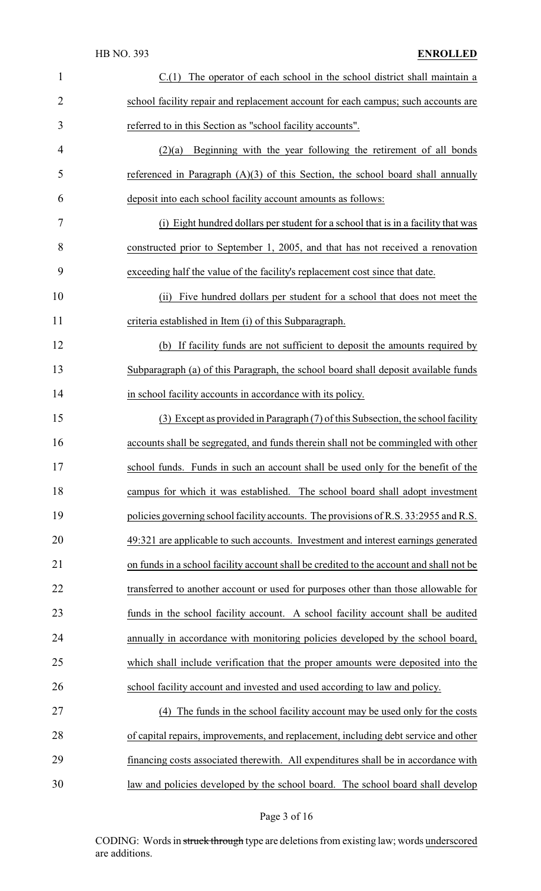### HB NO. 393 **ENROLLED**

| $\mathbf{1}$   | The operator of each school in the school district shall maintain a<br>C(1)             |
|----------------|-----------------------------------------------------------------------------------------|
| $\overline{2}$ | school facility repair and replacement account for each campus; such accounts are       |
| 3              | referred to in this Section as "school facility accounts".                              |
| 4              | Beginning with the year following the retirement of all bonds<br>(2)(a)                 |
| 5              | referenced in Paragraph $(A)(3)$ of this Section, the school board shall annually       |
| 6              | deposit into each school facility account amounts as follows:                           |
| 7              | (i) Eight hundred dollars per student for a school that is in a facility that was       |
| 8              | constructed prior to September 1, 2005, and that has not received a renovation          |
| 9              | exceeding half the value of the facility's replacement cost since that date.            |
| 10             | Five hundred dollars per student for a school that does not meet the<br>(ii)            |
| 11             | criteria established in Item (i) of this Subparagraph.                                  |
| 12             | (b) If facility funds are not sufficient to deposit the amounts required by             |
| 13             | Subparagraph (a) of this Paragraph, the school board shall deposit available funds      |
| 14             | in school facility accounts in accordance with its policy.                              |
| 15             | (3) Except as provided in Paragraph (7) of this Subsection, the school facility         |
| 16             | accounts shall be segregated, and funds therein shall not be commingled with other      |
| 17             | school funds. Funds in such an account shall be used only for the benefit of the        |
| 18             | campus for which it was established. The school board shall adopt investment            |
| 19             | policies governing school facility accounts. The provisions of R.S. 33:2955 and R.S.    |
| 20             | 49:321 are applicable to such accounts. Investment and interest earnings generated      |
| 21             | on funds in a school facility account shall be credited to the account and shall not be |
| 22             | transferred to another account or used for purposes other than those allowable for      |
| 23             | funds in the school facility account. A school facility account shall be audited        |
| 24             | annually in accordance with monitoring policies developed by the school board,          |
| 25             | which shall include verification that the proper amounts were deposited into the        |
| 26             | school facility account and invested and used according to law and policy.              |
| 27             | (4) The funds in the school facility account may be used only for the costs             |
| 28             | of capital repairs, improvements, and replacement, including debt service and other     |
| 29             | financing costs associated therewith. All expenditures shall be in accordance with      |
| 30             | law and policies developed by the school board. The school board shall develop          |

# Page 3 of 16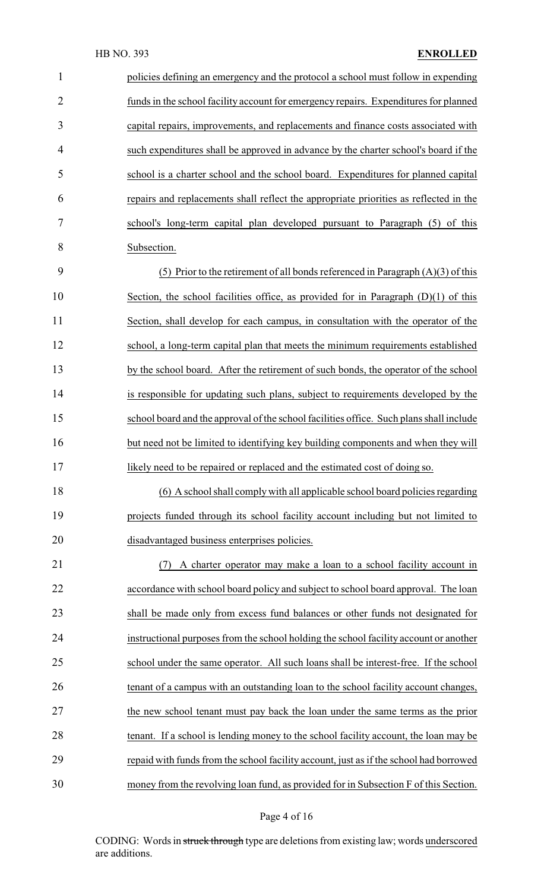| 1              | policies defining an emergency and the protocol a school must follow in expending       |
|----------------|-----------------------------------------------------------------------------------------|
| $\overline{2}$ | funds in the school facility account for emergency repairs. Expenditures for planned    |
| 3              | capital repairs, improvements, and replacements and finance costs associated with       |
| 4              | such expenditures shall be approved in advance by the charter school's board if the     |
| 5              | school is a charter school and the school board. Expenditures for planned capital       |
| 6              | repairs and replacements shall reflect the appropriate priorities as reflected in the   |
| 7              | school's long-term capital plan developed pursuant to Paragraph (5) of this             |
| 8              | Subsection.                                                                             |
| 9              | (5) Prior to the retirement of all bonds referenced in Paragraph $(A)(3)$ of this       |
| 10             | Section, the school facilities office, as provided for in Paragraph $(D)(1)$ of this    |
| 11             | Section, shall develop for each campus, in consultation with the operator of the        |
| 12             | school, a long-term capital plan that meets the minimum requirements established        |
| 13             | by the school board. After the retirement of such bonds, the operator of the school     |
| 14             | is responsible for updating such plans, subject to requirements developed by the        |
| 15             | school board and the approval of the school facilities office. Such plans shall include |
| 16             | but need not be limited to identifying key building components and when they will       |
| 17             | likely need to be repaired or replaced and the estimated cost of doing so.              |
| 18             | (6) A school shall comply with all applicable school board policies regarding           |
| 19             | projects funded through its school facility account including but not limited to        |
| 20             | disadvantaged business enterprises policies.                                            |
| 21             | A charter operator may make a loan to a school facility account in<br>(7)               |
| 22             | accordance with school board policy and subject to school board approval. The loan      |
| 23             | shall be made only from excess fund balances or other funds not designated for          |
| 24             | instructional purposes from the school holding the school facility account or another   |
| 25             | school under the same operator. All such loans shall be interest-free. If the school    |
| 26             | tenant of a campus with an outstanding loan to the school facility account changes,     |
| 27             | the new school tenant must pay back the loan under the same terms as the prior          |
| 28             | tenant. If a school is lending money to the school facility account, the loan may be    |
| 29             | repaid with funds from the school facility account, just as if the school had borrowed  |
| 30             | money from the revolving loan fund, as provided for in Subsection F of this Section.    |

# Page 4 of 16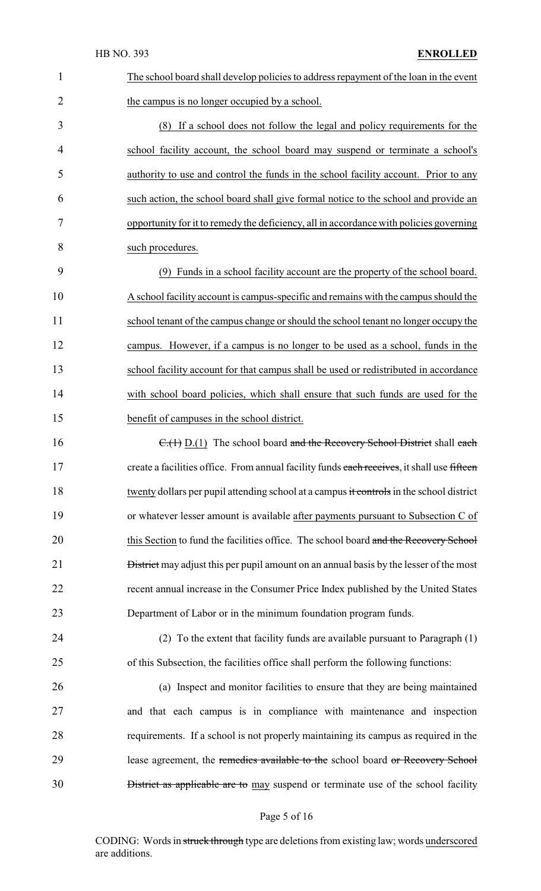| $\mathbf{1}$   | The school board shall develop policies to address repayment of the loan in the event         |
|----------------|-----------------------------------------------------------------------------------------------|
| $\overline{2}$ | the campus is no longer occupied by a school.                                                 |
| 3              | (8) If a school does not follow the legal and policy requirements for the                     |
| 4              | school facility account, the school board may suspend or terminate a school's                 |
| 5              | authority to use and control the funds in the school facility account. Prior to any           |
| 6              | such action, the school board shall give formal notice to the school and provide an           |
| 7              | opportunity for it to remedy the deficiency, all in accordance with policies governing        |
| 8              | such procedures.                                                                              |
| 9              | (9) Funds in a school facility account are the property of the school board.                  |
| 10             | A school facility account is campus-specific and remains with the campus should the           |
| 11             | school tenant of the campus change or should the school tenant no longer occupy the           |
| 12             | campus. However, if a campus is no longer to be used as a school, funds in the                |
| 13             | school facility account for that campus shall be used or redistributed in accordance          |
| 14             | with school board policies, which shall ensure that such funds are used for the               |
| 15             | benefit of campuses in the school district.                                                   |
| 16             | $C_{1}(1)$ D.(1) The school board and the Recovery School District shall each                 |
| 17             | create a facilities office. From annual facility funds each receives, it shall use fifteen    |
| 18             | twenty dollars per pupil attending school at a campus it controls in the school district      |
| 19             | or whatever lesser amount is available after payments pursuant to Subsection C of             |
| 20             | this Section to fund the facilities office. The school board and the Recovery School          |
| 21             | <b>District</b> may adjust this per pupil amount on an annual basis by the lesser of the most |
| 22             | recent annual increase in the Consumer Price Index published by the United States             |
| 23             | Department of Labor or in the minimum foundation program funds.                               |
| 24             | (2) To the extent that facility funds are available pursuant to Paragraph (1)                 |
| 25             | of this Subsection, the facilities office shall perform the following functions:              |
| 26             | (a) Inspect and monitor facilities to ensure that they are being maintained                   |
| 27             | and that each campus is in compliance with maintenance and inspection                         |
| 28             | requirements. If a school is not properly maintaining its campus as required in the           |
| 29             | lease agreement, the remedies available to the school board or Recovery School                |
| 30             | District as applicable are to may suspend or terminate use of the school facility             |
|                |                                                                                               |

# Page 5 of 16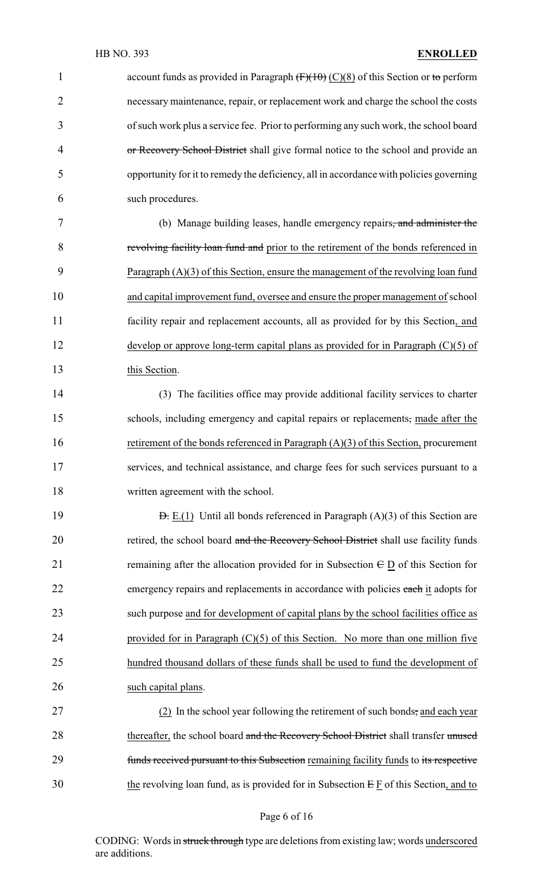1 account funds as provided in Paragraph  $(F)(10)(S)$  of this Section or to perform necessary maintenance, repair, or replacement work and charge the school the costs of such work plus a service fee. Prior to performing any such work, the school board 4 or Recovery School District shall give formal notice to the school and provide an opportunity for it to remedy the deficiency, all in accordance with policies governing such procedures. (b) Manage building leases, handle emergency repairs, and administer the 8 revolving facility loan fund and prior to the retirement of the bonds referenced in Paragraph (A)(3) of this Section, ensure the management of the revolving loan fund and capital improvement fund, oversee and ensure the proper management of school facility repair and replacement accounts, all as provided for by this Section, and develop or approve long-term capital plans as provided for in Paragraph (C)(5) of this Section. (3) The facilities office may provide additional facility services to charter schools, including emergency and capital repairs or replacements, made after the 16 retirement of the bonds referenced in Paragraph (A)(3) of this Section, procurement services, and technical assistance, and charge fees for such services pursuant to a 18 written agreement with the school. **D.** E.(1) Until all bonds referenced in Paragraph  $(A)(3)$  of this Section are 20 retired, the school board and the Recovery School District shall use facility funds 21 remaining after the allocation provided for in Subsection  $E \underline{D}$  of this Section for 22 emergency repairs and replacements in accordance with policies each it adopts for such purpose and for development of capital plans by the school facilities office as provided for in Paragraph (C)(5) of this Section. No more than one million five hundred thousand dollars of these funds shall be used to fund the development of such capital plans. (2) In the school year following the retirement of such bonds, and each year 28 thereafter, the school board and the Recovery School District shall transfer unused **funds received pursuant to this Subsection** remaining facility funds to its respective the revolving loan fund, as is provided for in Subsection  $E F$  of this Section, and to

#### Page 6 of 16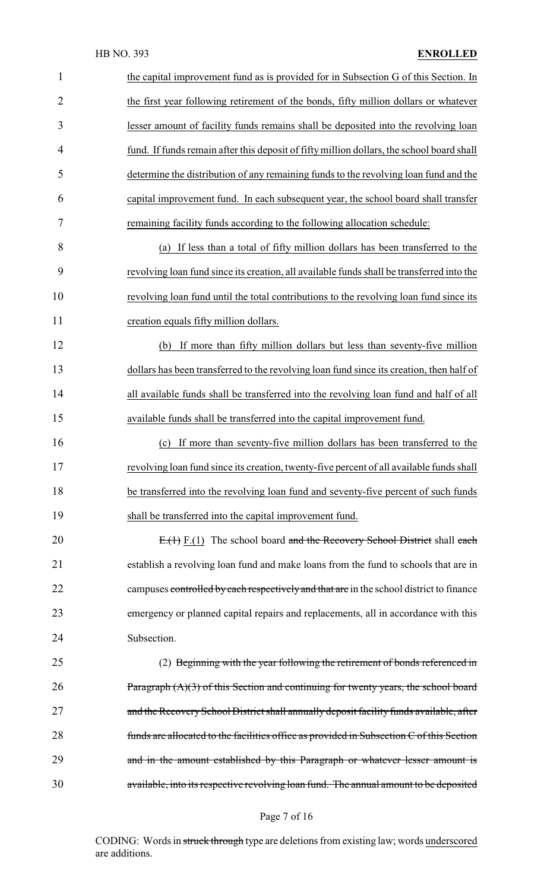| $\mathbf{1}$   | the capital improvement fund as is provided for in Subsection G of this Section. In       |
|----------------|-------------------------------------------------------------------------------------------|
| $\overline{2}$ | the first year following retirement of the bonds, fifty million dollars or whatever       |
| 3              | lesser amount of facility funds remains shall be deposited into the revolving loan        |
| 4              | fund. If funds remain after this deposit of fifty million dollars, the school board shall |
| 5              | determine the distribution of any remaining funds to the revolving loan fund and the      |
| 6              | capital improvement fund. In each subsequent year, the school board shall transfer        |
| 7              | remaining facility funds according to the following allocation schedule:                  |
| 8              | If less than a total of fifty million dollars has been transferred to the<br>(a)          |
| 9              | revolving loan fund since its creation, all available funds shall be transferred into the |
| 10             | revolving loan fund until the total contributions to the revolving loan fund since its    |
| 11             | creation equals fifty million dollars.                                                    |
| 12             | If more than fifty million dollars but less than seventy-five million<br>(b)              |
| 13             | dollars has been transferred to the revolving loan fund since its creation, then half of  |
| 14             | all available funds shall be transferred into the revolving loan fund and half of all     |
| 15             | available funds shall be transferred into the capital improvement fund.                   |
| 16             | (c) If more than seventy-five million dollars has been transferred to the                 |
| 17             | revolving loan fund since its creation, twenty-five percent of all available funds shall  |
| 18             | be transferred into the revolving loan fund and seventy-five percent of such funds        |
| 19             | shall be transferred into the capital improvement fund.                                   |
| 20             | $E(1)$ F.(1) The school board and the Recovery School District shall each                 |
| 21             | establish a revolving loan fund and make loans from the fund to schools that are in       |
| 22             | campuses controlled by each respectively and that are in the school district to finance   |
| 23             | emergency or planned capital repairs and replacements, all in accordance with this        |
| 24             | Subsection.                                                                               |
| 25             | (2) Beginning with the year following the retirement of bonds referenced in               |
| 26             | Paragraph $(A)(3)$ of this Section and continuing for twenty years, the school board      |
| 27             | and the Recovery School District shall annually deposit facility funds available, after   |
| 28             | funds are allocated to the facilities office as provided in Subsection C of this Section  |
| 29             | and in the amount established by this Paragraph or whatever lesser amount is              |
| 30             | available, into its respective revolving loan fund. The annual amount to be deposited     |
|                |                                                                                           |

Page 7 of 16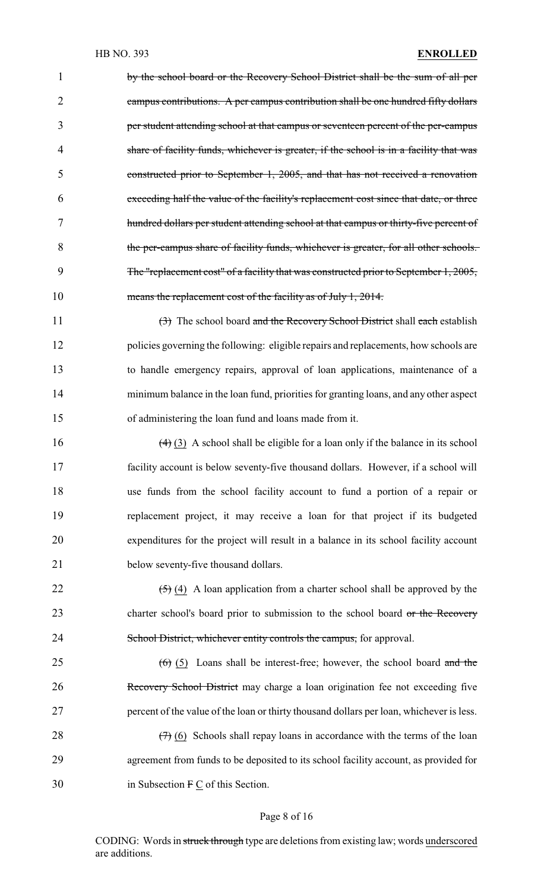by the school board or the Recovery School District shall be the sum of all per campus contributions. A per campus contribution shall be one hundred fifty dollars per student attending school at that campus or seventeen percent of the per-campus share of facility funds, whichever is greater, if the school is in a facility that was constructed prior to September 1, 2005, and that has not received a renovation exceeding half the value of the facility's replacement cost since that date, or three hundred dollars per student attending school at that campus or thirty-five percent of the per-campus share of facility funds, whichever is greater, for all other schools. 9 The "replacement cost" of a facility that was constructed prior to September 1, 2005, 10 means the replacement cost of the facility as of July 1, 2014.

11 (3) The school board and the Recovery School District shall each establish policies governing the following: eligible repairs and replacements, how schools are to handle emergency repairs, approval of loan applications, maintenance of a minimum balance in the loan fund, priorities for granting loans, and any other aspect of administering the loan fund and loans made from it.

 $(4)$  (3) A school shall be eligible for a loan only if the balance in its school facility account is below seventy-five thousand dollars. However, if a school will use funds from the school facility account to fund a portion of a repair or replacement project, it may receive a loan for that project if its budgeted expenditures for the project will result in a balance in its school facility account 21 below seventy-five thousand dollars.

22  $(5)(4)$  A loan application from a charter school shall be approved by the 23 charter school's board prior to submission to the school board or the Recovery 24 School District, whichever entity controls the campus, for approval.

25  $(6)$  (5) Loans shall be interest-free; however, the school board and the 26 Recovery School District may charge a loan origination fee not exceeding five 27 percent of the value of the loan or thirty thousand dollars per loan, whichever is less.

28  $(7)$  (6) Schools shall repay loans in accordance with the terms of the loan 29 agreement from funds to be deposited to its school facility account, as provided for 30 in Subsection F C of this Section.

#### Page 8 of 16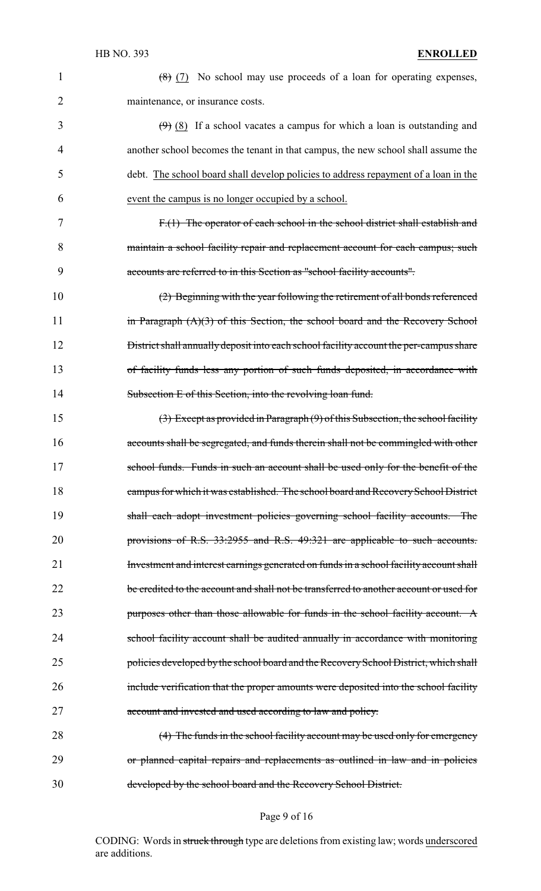1  $(8)(7)$  No school may use proceeds of a loan for operating expenses, maintenance, or insurance costs.

 $\left(\frac{9}{9}\right)$  (8) If a school vacates a campus for which a loan is outstanding and another school becomes the tenant in that campus, the new school shall assume the debt. The school board shall develop policies to address repayment of a loan in the event the campus is no longer occupied by a school.

7 F.(1) The operator of each school in the school district shall establish and 8 maintain a school facility repair and replacement account for each campus; such 9 accounts are referred to in this Section as "school facility accounts".

10 (2) Beginning with the year following the retirement of all bonds referenced 11 in Paragraph (A)(3) of this Section, the school board and the Recovery School 12 **District shall annually deposit into each school facility account the per-campus share** 13 of facility funds less any portion of such funds deposited, in accordance with 14 Subsection E of this Section, into the revolving loan fund.

15 (3) Except as provided in Paragraph (9) of this Subsection, the school facility 16 accounts shall be segregated, and funds therein shall not be commingled with other 17 school funds. Funds in such an account shall be used only for the benefit of the 18 campus for which it was established. The school board and Recovery School District 19 shall each adopt investment policies governing school facility accounts. The 20 provisions of R.S. 33:2955 and R.S. 49:321 are applicable to such accounts. 21 Investment and interest earnings generated on funds in a school facility account shall 22 be credited to the account and shall not be transferred to another account or used for 23 purposes other than those allowable for funds in the school facility account. A 24 school facility account shall be audited annually in accordance with monitoring 25 policies developed by the school board and the Recovery School District, which shall 26 include verification that the proper amounts were deposited into the school facility 27 account and invested and used according to law and policy.

28 (4) The funds in the school facility account may be used only for emergency 29 or planned capital repairs and replacements as outlined in law and in policies 30 developed by the school board and the Recovery School District.

#### Page 9 of 16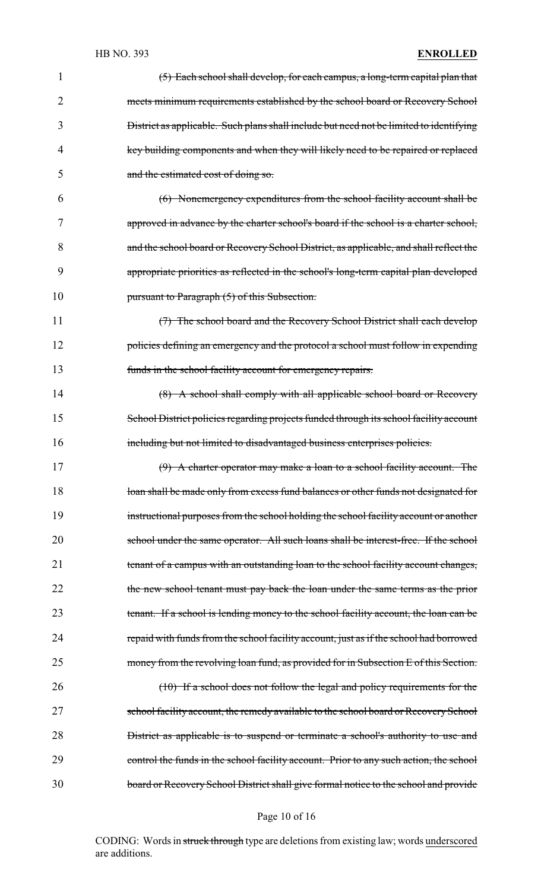#### HB NO. 393 **ENROLLED**

| 1  | (5) Each school shall develop, for each campus, a long-term capital plan that           |
|----|-----------------------------------------------------------------------------------------|
| 2  | meets minimum requirements established by the school board or Recovery School           |
| 3  | District as applicable. Such plans shall include but need not be limited to identifying |
| 4  | key building components and when they will likely need to be repaired or replaced       |
| 5  | and the estimated cost of doing so.                                                     |
| 6  | (6) Nonemergency expenditures from the school facility account shall be                 |
| 7  | approved in advance by the charter school's board if the school is a charter school,    |
| 8  | and the school board or Recovery School District, as applicable, and shall reflect the  |
| 9  | appropriate priorities as reflected in the school's long-term capital plan developed    |
| 10 | pursuant to Paragraph (5) of this Subsection.                                           |
| 11 | (7) The school board and the Recovery School District shall each develop                |
| 12 | policies defining an emergency and the protocol a school must follow in expending       |
| 13 | funds in the school facility account for emergency repairs.                             |
| 14 | (8) A school shall comply with all applicable school board or Recovery                  |
| 15 | School District policies regarding projects funded through its school facility account  |
| 16 | including but not limited to disadvantaged business enterprises policies.               |
| 17 | (9) A charter operator may make a loan to a school facility account. The                |
| 18 | loan shall be made only from excess fund balances or other funds not designated for     |
| 19 | instructional purposes from the school holding the school facility account or another   |
| 20 | school under the same operator. All such loans shall be interest-free. If the school    |
| 21 | tenant of a campus with an outstanding loan to the school facility account changes,     |
| 22 | the new school tenant must pay back the loan under the same terms as the prior          |
| 23 | tenant. If a school is lending money to the school facility account, the loan can be    |
| 24 | repaid with funds from the school facility account, just as if the school had borrowed  |
| 25 | money from the revolving loan fund, as provided for in Subsection E of this Section.    |
| 26 | $(10)$ If a school does not follow the legal and policy requirements for the            |
| 27 | school facility account, the remedy available to the school board or Recovery School    |
| 28 | District as applicable is to suspend or terminate a school's authority to use and       |
| 29 | control the funds in the school facility account. Prior to any such action, the school  |
| 30 | board or Recovery School District shall give formal notice to the school and provide    |

# Page 10 of 16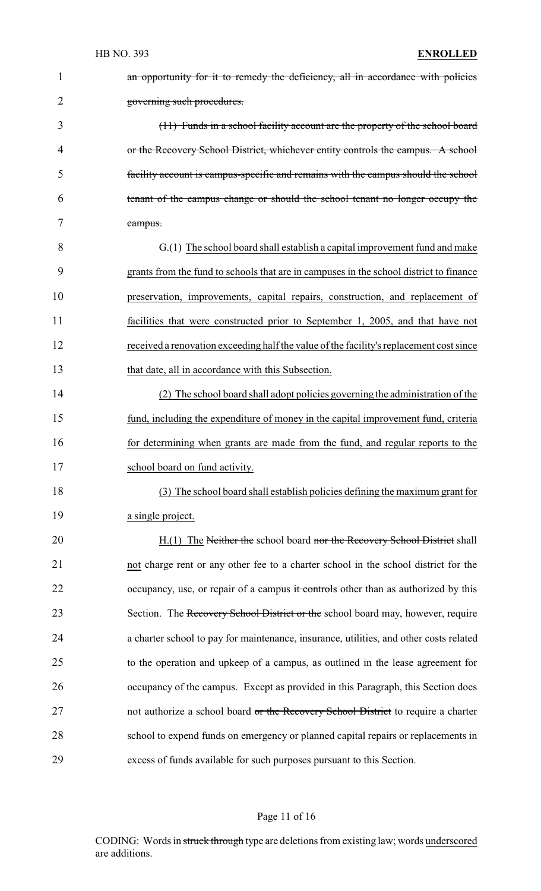| $\mathbf{1}$   | an opportunity for it to remedy the deficiency, all in accordance with policies         |
|----------------|-----------------------------------------------------------------------------------------|
| $\overline{2}$ | governing such procedures.                                                              |
| 3              | (11) Funds in a school facility account are the property of the school board            |
| 4              | or the Recovery School District, whichever entity controls the campus. A school         |
| 5              | facility account is campus-specific and remains with the campus should the school       |
| 6              | tenant of the campus change or should the school tenant no longer occupy the            |
| 7              | campus.                                                                                 |
| 8              | G.(1) The school board shall establish a capital improvement fund and make              |
| 9              | grants from the fund to schools that are in campuses in the school district to finance  |
| 10             | preservation, improvements, capital repairs, construction, and replacement of           |
| 11             | facilities that were constructed prior to September 1, 2005, and that have not          |
| 12             | received a renovation exceeding half the value of the facility's replacement cost since |
| 13             | that date, all in accordance with this Subsection.                                      |
| 14             | (2) The school board shall adopt policies governing the administration of the           |
| 15             | fund, including the expenditure of money in the capital improvement fund, criteria      |
| 16             | for determining when grants are made from the fund, and regular reports to the          |
| 17             | school board on fund activity.                                                          |
| 18             | (3) The school board shall establish policies defining the maximum grant for            |
| 19             | a single project.                                                                       |
| 20             | H.(1) The Neither the school board nor the Recovery School District shall               |
| 21             | not charge rent or any other fee to a charter school in the school district for the     |
| 22             | occupancy, use, or repair of a campus it controls other than as authorized by this      |
| 23             | Section. The Recovery School District or the school board may, however, require         |
| 24             | a charter school to pay for maintenance, insurance, utilities, and other costs related  |
| 25             | to the operation and upkeep of a campus, as outlined in the lease agreement for         |
| 26             | occupancy of the campus. Except as provided in this Paragraph, this Section does        |
| 27             | not authorize a school board or the Recovery School District to require a charter       |
| 28             | school to expend funds on emergency or planned capital repairs or replacements in       |
| 29             | excess of funds available for such purposes pursuant to this Section.                   |

# Page 11 of 16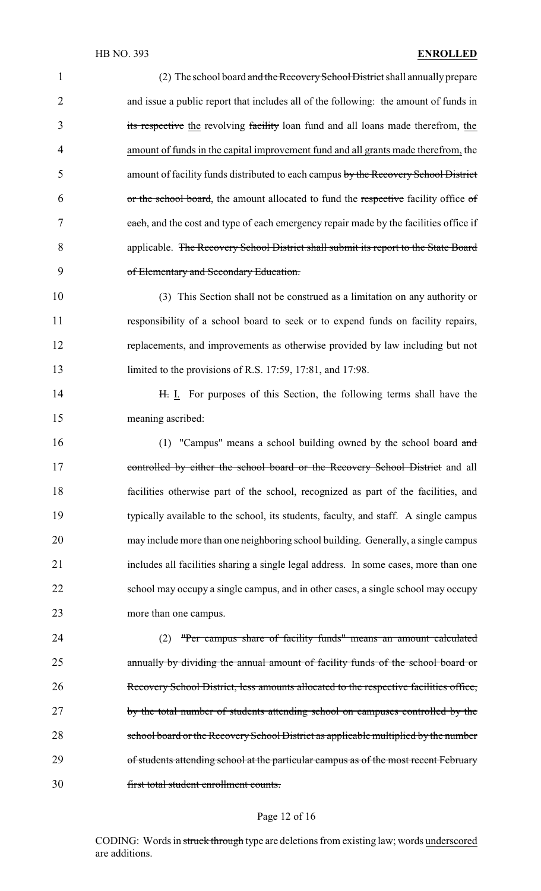| $\mathbf{1}$   | (2) The school board and the Recovery School District shall annually prepare          |
|----------------|---------------------------------------------------------------------------------------|
| $\overline{2}$ | and issue a public report that includes all of the following: the amount of funds in  |
| 3              | its respective the revolving facility loan fund and all loans made therefrom, the     |
| $\overline{4}$ | amount of funds in the capital improvement fund and all grants made therefrom, the    |
| 5              | amount of facility funds distributed to each campus by the Recovery School District   |
| 6              | or the school board, the amount allocated to fund the respective facility office of   |
| 7              | each, and the cost and type of each emergency repair made by the facilities office if |
| 8              | applicable. The Recovery School District shall submit its report to the State Board   |
| 9              | of Elementary and Secondary Education.                                                |
| 10             | (3) This Section shall not be construed as a limitation on any authority or           |
| 11             | responsibility of a school board to seek or to expend funds on facility repairs,      |
| 12             | replacements, and improvements as otherwise provided by law including but not         |
| 13             | limited to the provisions of R.S. 17:59, 17:81, and 17:98.                            |
| 14             | H. I. For purposes of this Section, the following terms shall have the                |
| 15             | meaning ascribed:                                                                     |
| 16             | (1) "Campus" means a school building owned by the school board and                    |
| 17             | controlled by either the school board or the Recovery School District and all         |
| 18             | facilities otherwise part of the school, recognized as part of the facilities, and    |
| 19             | typically available to the school, its students, faculty, and staff. A single campus  |
| 20             | may include more than one neighboring school building. Generally, a single campus     |
| 21             | includes all facilities sharing a single legal address. In some cases, more than one  |
| 22             | school may occupy a single campus, and in other cases, a single school may occupy     |
| 23             | more than one campus.                                                                 |
| 24             | "Per campus share of facility funds" means an amount calculated<br>(2)                |
| 25             | annually by dividing the annual amount of facility funds of the school board or       |
| 26             | Recovery School District, less amounts allocated to the respective facilities office, |
| 27             | by the total number of students attending school on campuses controlled by the        |
| 28             | school board or the Recovery School District as applicable multiplied by the number   |
| 29             | of students attending school at the particular campus as of the most recent February  |
| 30             | first total student enrollment counts.                                                |
|                |                                                                                       |

# Page 12 of 16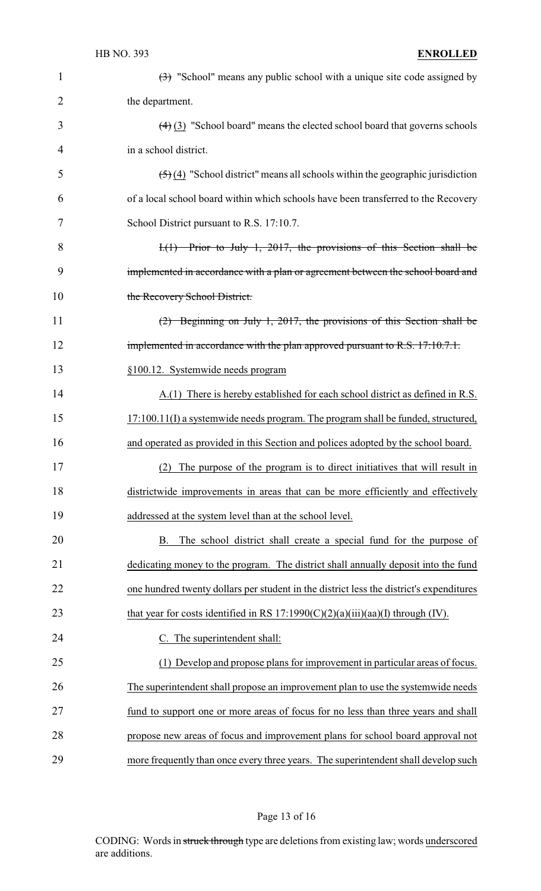#### HB NO. 393 **ENROLLED**

| 1  | $\left(\frac{1}{2}\right)$ "School" means any public school with a unique site code assigned by       |
|----|-------------------------------------------------------------------------------------------------------|
| 2  | the department.                                                                                       |
| 3  | $(4)$ (3) "School board" means the elected school board that governs schools                          |
| 4  | in a school district.                                                                                 |
| 5  | $\left(\frac{5}{2}\right)$ (4) "School district" means all schools within the geographic jurisdiction |
| 6  | of a local school board within which schools have been transferred to the Recovery                    |
| 7  | School District pursuant to R.S. 17:10.7.                                                             |
| 8  | $I_{\cdot}(1)$ Prior to July 1, 2017, the provisions of this Section shall be                         |
| 9  | implemented in accordance with a plan or agreement between the school board and                       |
| 10 | the Recovery School District.                                                                         |
| 11 | $(2)$ Beginning on July 1, 2017, the provisions of this Section shall be                              |
| 12 | implemented in accordance with the plan approved pursuant to R.S. 17:10.7.1.                          |
| 13 | §100.12. Systemwide needs program                                                                     |
| 14 | A.(1) There is hereby established for each school district as defined in R.S.                         |
| 15 | 17:100.11(I) a systemwide needs program. The program shall be funded, structured,                     |
| 16 | and operated as provided in this Section and polices adopted by the school board.                     |
| 17 | The purpose of the program is to direct initiatives that will result in<br>(2)                        |
| 18 | districtwide improvements in areas that can be more efficiently and effectively                       |
| 19 | addressed at the system level than at the school level.                                               |
| 20 | The school district shall create a special fund for the purpose of<br>B.                              |
| 21 | dedicating money to the program. The district shall annually deposit into the fund                    |
| 22 | one hundred twenty dollars per student in the district less the district's expenditures               |
| 23 | that year for costs identified in RS $17:1990(C)(2)(a)(iii)(aa)(I)$ through (IV).                     |
| 24 | C. The superintendent shall:                                                                          |
| 25 | (1) Develop and propose plans for improvement in particular areas of focus.                           |
| 26 | The superintendent shall propose an improvement plan to use the systemwide needs                      |
| 27 | fund to support one or more areas of focus for no less than three years and shall                     |
| 28 | propose new areas of focus and improvement plans for school board approval not                        |
| 29 | more frequently than once every three years. The superintendent shall develop such                    |

# Page 13 of 16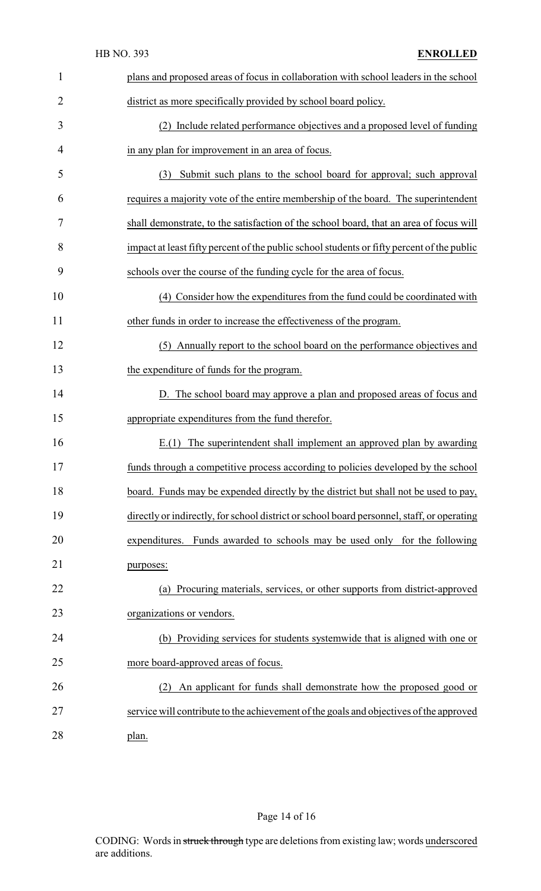|                | HB NO. 393<br><b>ENROLLED</b>                                                              |
|----------------|--------------------------------------------------------------------------------------------|
| $\mathbf{1}$   | plans and proposed areas of focus in collaboration with school leaders in the school       |
| $\overline{2}$ | district as more specifically provided by school board policy.                             |
| 3              | (2) Include related performance objectives and a proposed level of funding                 |
| 4              | in any plan for improvement in an area of focus.                                           |
| 5              | Submit such plans to the school board for approval; such approval<br>(3)                   |
| 6              | requires a majority vote of the entire membership of the board. The superintendent         |
| 7              | shall demonstrate, to the satisfaction of the school board, that an area of focus will     |
| 8              | impact at least fifty percent of the public school students or fifty percent of the public |
| 9              | schools over the course of the funding cycle for the area of focus.                        |
| 10             | (4) Consider how the expenditures from the fund could be coordinated with                  |
| 11             | other funds in order to increase the effectiveness of the program.                         |
| 12             | (5) Annually report to the school board on the performance objectives and                  |
| 13             | the expenditure of funds for the program.                                                  |
| 14             | D. The school board may approve a plan and proposed areas of focus and                     |
| 15             | appropriate expenditures from the fund therefor.                                           |
| 16             | $E(1)$ The superintendent shall implement an approved plan by awarding                     |
| 17             | funds through a competitive process according to policies developed by the school          |
| 18             | board. Funds may be expended directly by the district but shall not be used to pay,        |
| 19             | directly or indirectly, for school district or school board personnel, staff, or operating |
| 20             | expenditures. Funds awarded to schools may be used only for the following                  |
| 21             | purposes:                                                                                  |
| 22             | (a) Procuring materials, services, or other supports from district-approved                |
| 23             | organizations or vendors.                                                                  |
| 24             | (b) Providing services for students systemwide that is aligned with one or                 |
| 25             | more board-approved areas of focus.                                                        |
| 26             | An applicant for funds shall demonstrate how the proposed good or<br>(2)                   |
| 27             | service will contribute to the achievement of the goals and objectives of the approved     |
| 28             | plan.                                                                                      |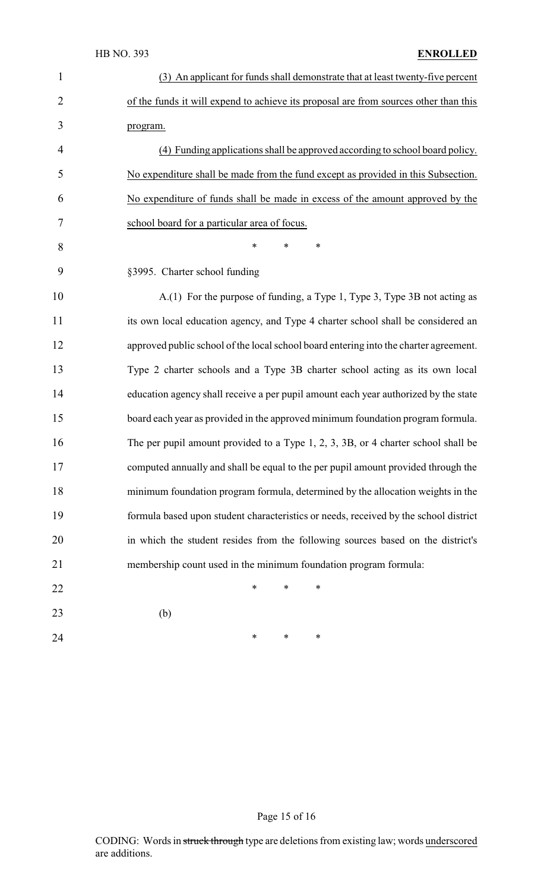| $\mathbf{1}$   | (3) An applicant for funds shall demonstrate that at least twenty-five percent        |
|----------------|---------------------------------------------------------------------------------------|
| $\overline{2}$ | of the funds it will expend to achieve its proposal are from sources other than this  |
| 3              | program.                                                                              |
| 4              | (4) Funding applications shall be approved according to school board policy.          |
| 5              | No expenditure shall be made from the fund except as provided in this Subsection.     |
| 6              | No expenditure of funds shall be made in excess of the amount approved by the         |
| 7              | school board for a particular area of focus.                                          |
| 8              | $\ast$<br>$\ast$<br>*                                                                 |
| 9              | §3995. Charter school funding                                                         |
| 10             | A.(1) For the purpose of funding, a Type 1, Type 3, Type 3B not acting as             |
| 11             | its own local education agency, and Type 4 charter school shall be considered an      |
| 12             | approved public school of the local school board entering into the charter agreement. |
| 13             | Type 2 charter schools and a Type 3B charter school acting as its own local           |
| 14             | education agency shall receive a per pupil amount each year authorized by the state   |
| 15             | board each year as provided in the approved minimum foundation program formula.       |
| 16             | The per pupil amount provided to a Type 1, 2, 3, 3B, or 4 charter school shall be     |
| 17             | computed annually and shall be equal to the per pupil amount provided through the     |
| 18             | minimum foundation program formula, determined by the allocation weights in the       |
| 19             | formula based upon student characteristics or needs, received by the school district  |
| 20             | in which the student resides from the following sources based on the district's       |
| 21             | membership count used in the minimum foundation program formula:                      |
| 22             | $\ast$<br>$\ast$<br>∗                                                                 |
| 23             | (b)                                                                                   |
| 24             | ∗<br>∗<br>∗                                                                           |

# Page 15 of 16